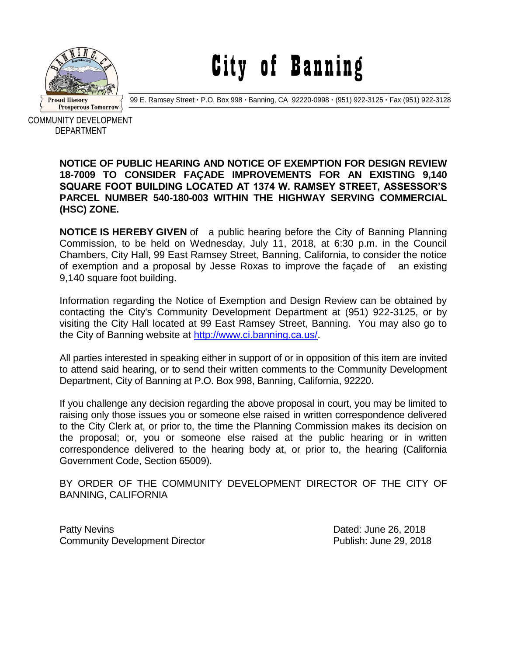

City of Banning

99 E. Ramsey Street **·** P.O. Box 998 **·** Banning, CA 92220-0998 **·** (951) 922-3125 **·** Fax (951) 922-3128

COMMUNITY DEVELOPMENT DEPARTMENT

## **NOTICE OF PUBLIC HEARING AND NOTICE OF EXEMPTION FOR DESIGN REVIEW 18-7009 TO CONSIDER FAÇADE IMPROVEMENTS FOR AN EXISTING 9,140 SQUARE FOOT BUILDING LOCATED AT 1374 W. RAMSEY STREET, ASSESSOR'S PARCEL NUMBER 540-180-003 WITHIN THE HIGHWAY SERVING COMMERCIAL (HSC) ZONE.**

**NOTICE IS HEREBY GIVEN** of a public hearing before the City of Banning Planning Commission, to be held on Wednesday, July 11, 2018, at 6:30 p.m. in the Council Chambers, City Hall, 99 East Ramsey Street, Banning, California, to consider the notice of exemption and a proposal by Jesse Roxas to improve the façade of an existing 9,140 square foot building.

Information regarding the Notice of Exemption and Design Review can be obtained by contacting the City's Community Development Department at (951) 922-3125, or by visiting the City Hall located at 99 East Ramsey Street, Banning. You may also go to the City of Banning website at [http://www.ci.banning.ca.us/.](http://www.ci.banning.ca.us/)

All parties interested in speaking either in support of or in opposition of this item are invited to attend said hearing, or to send their written comments to the Community Development Department, City of Banning at P.O. Box 998, Banning, California, 92220.

If you challenge any decision regarding the above proposal in court, you may be limited to raising only those issues you or someone else raised in written correspondence delivered to the City Clerk at, or prior to, the time the Planning Commission makes its decision on the proposal; or, you or someone else raised at the public hearing or in written correspondence delivered to the hearing body at, or prior to, the hearing (California Government Code, Section 65009).

BY ORDER OF THE COMMUNITY DEVELOPMENT DIRECTOR OF THE CITY OF BANNING, CALIFORNIA

Patty Nevins **Patty News** 2018 Community Development Director Publish: June 29, 2018